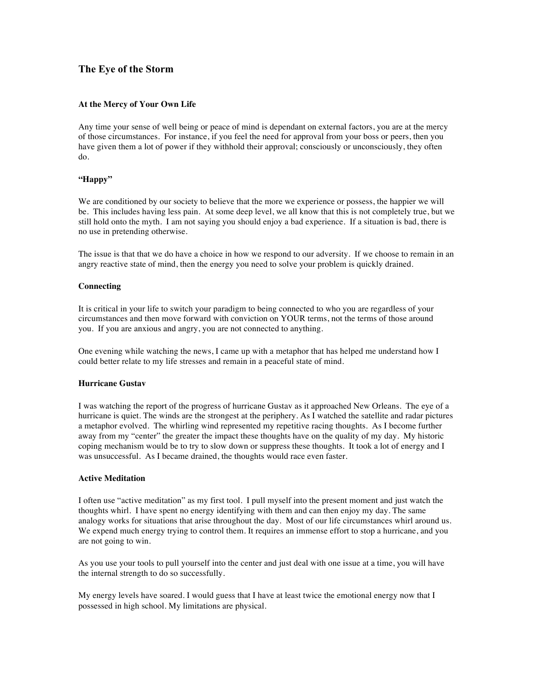# **The Eye of the Storm**

## **At the Mercy of Your Own Life**

Any time your sense of well being or peace of mind is dependant on external factors, you are at the mercy of those circumstances. For instance, if you feel the need for approval from your boss or peers, then you have given them a lot of power if they withhold their approval; consciously or unconsciously, they often do.

## **"Happy"**

We are conditioned by our society to believe that the more we experience or possess, the happier we will be. This includes having less pain. At some deep level, we all know that this is not completely true, but we still hold onto the myth. I am not saying you should enjoy a bad experience. If a situation is bad, there is no use in pretending otherwise.

The issue is that that we do have a choice in how we respond to our adversity. If we choose to remain in an angry reactive state of mind, then the energy you need to solve your problem is quickly drained.

### **Connecting**

It is critical in your life to switch your paradigm to being connected to who you are regardless of your circumstances and then move forward with conviction on YOUR terms, not the terms of those around you. If you are anxious and angry, you are not connected to anything.

One evening while watching the news, I came up with a metaphor that has helped me understand how I could better relate to my life stresses and remain in a peaceful state of mind.

### **Hurricane Gustav**

I was watching the report of the progress of hurricane Gustav as it approached New Orleans. The eye of a hurricane is quiet. The winds are the strongest at the periphery. As I watched the satellite and radar pictures a metaphor evolved. The whirling wind represented my repetitive racing thoughts. As I become further away from my "center" the greater the impact these thoughts have on the quality of my day. My historic coping mechanism would be to try to slow down or suppress these thoughts. It took a lot of energy and I was unsuccessful. As I became drained, the thoughts would race even faster.

#### **Active Meditation**

I often use "active meditation" as my first tool. I pull myself into the present moment and just watch the thoughts whirl. I have spent no energy identifying with them and can then enjoy my day. The same analogy works for situations that arise throughout the day. Most of our life circumstances whirl around us. We expend much energy trying to control them. It requires an immense effort to stop a hurricane, and you are not going to win.

As you use your tools to pull yourself into the center and just deal with one issue at a time, you will have the internal strength to do so successfully.

My energy levels have soared. I would guess that I have at least twice the emotional energy now that I possessed in high school. My limitations are physical.